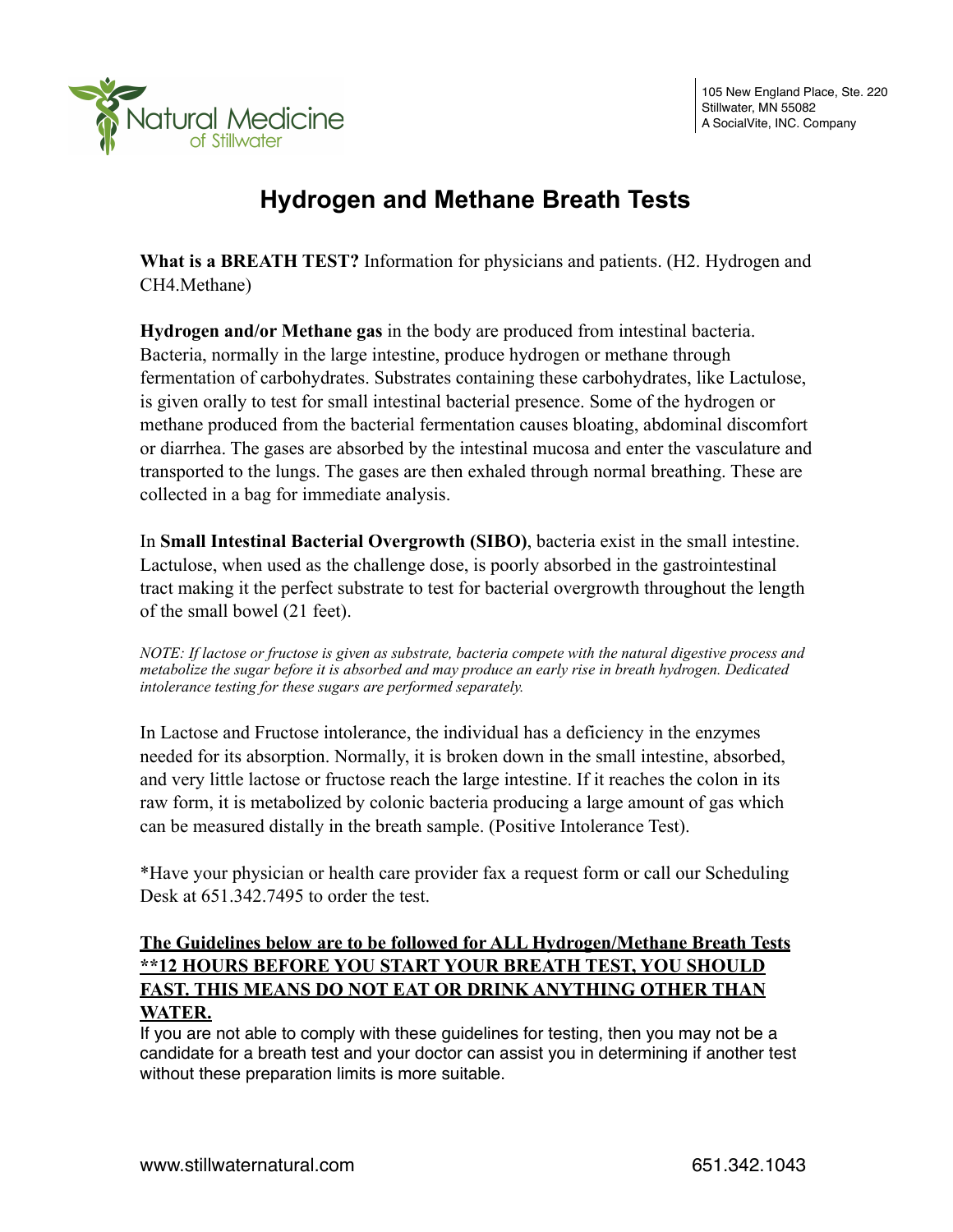

# **Hydrogen and Methane Breath Tests**

**What is a BREATH TEST?** Information for physicians and patients. (H2. Hydrogen and CH4.Methane)

**Hydrogen and/or Methane gas** in the body are produced from intestinal bacteria. Bacteria, normally in the large intestine, produce hydrogen or methane through fermentation of carbohydrates. Substrates containing these carbohydrates, like Lactulose, is given orally to test for small intestinal bacterial presence. Some of the hydrogen or methane produced from the bacterial fermentation causes bloating, abdominal discomfort or diarrhea. The gases are absorbed by the intestinal mucosa and enter the vasculature and transported to the lungs. The gases are then exhaled through normal breathing. These are collected in a bag for immediate analysis.

In **Small Intestinal Bacterial Overgrowth (SIBO)**, bacteria exist in the small intestine. Lactulose, when used as the challenge dose, is poorly absorbed in the gastrointestinal tract making it the perfect substrate to test for bacterial overgrowth throughout the length of the small bowel (21 feet).

*NOTE: If lactose or fructose is given as substrate, bacteria compete with the natural digestive process and metabolize the sugar before it is absorbed and may produce an early rise in breath hydrogen. Dedicated intolerance testing for these sugars are performed separately.*

In Lactose and Fructose intolerance, the individual has a deficiency in the enzymes needed for its absorption. Normally, it is broken down in the small intestine, absorbed, and very little lactose or fructose reach the large intestine. If it reaches the colon in its raw form, it is metabolized by colonic bacteria producing a large amount of gas which can be measured distally in the breath sample. (Positive Intolerance Test).

\*Have your physician or health care provider fax a request form or call our Scheduling Desk at 651.342.7495 to order the test.

# **The Guidelines below are to be followed for ALL Hydrogen/Methane Breath Tests \*\*12 HOURS BEFORE YOU START YOUR BREATH TEST, YOU SHOULD FAST. THIS MEANS DO NOT EAT OR DRINK ANYTHING OTHER THAN WATER.**

If you are not able to comply with these guidelines for testing, then you may not be a candidate for a breath test and your doctor can assist you in determining if another test without these preparation limits is more suitable.